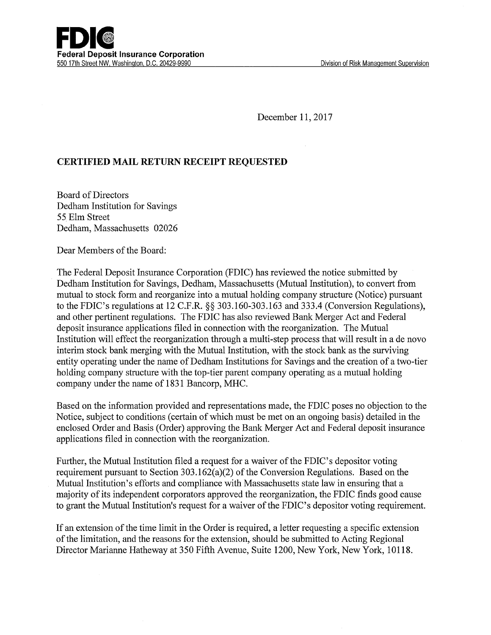

December 1l, 2017

## CERTIFIED MAIL RETURN RECEIPT REQUESTED

Board of Directors Dedham Institution for Savings 55 Elm Street Dedham, Massachusetts 02026

Dear Members of the Board:

The Federal Deposit Insurance Corporation (FDIC) has reviewed the notice submitted by Dedham Institution for Savings, Dedham, Massachusetts (Mutual Institution), to convert from mutual to stock form and reorganize into a mutual holding company structure (Notice) pursuant to the FDIC's regulations at 12 C.F.R. §§ 303.160-303.163 and 333.4 (Conversion Regulations), and other pertinent regulations. The FDIC has also reviewed Bank Merger Act and Federal deposit insurance applications filed in connection with the reorganization. The Mutual Institution will effect the reorganization through amulti-step process that will result in a de novo interim stock bank merging with the Mutual Institution, with the stock bank as the surviving entity operating under the name of Dedham Institutions for Savings and the creation of a two-tier holding company structure with the top-tier parent company operating as a mutual holding company under the name of 1831 Bancorp, MHC.

Based on the information provided and representations made, the FDIC poses no objection to the Notice, subject to conditions (certain of which must be met on an ongoing basis) detailed in the enclosed Order and Basis (Order) approving the Bank Merger Act and Federal deposit insurance applications filed in connection with the reorganization.

Further, the Mutual Institution filed a request for a waiver of the FDIC's depositor voting requirement pursuant to Section 303.162(a)(2) of the Conversion Regulations. Based on the Mutual Institution's efforts and compliance with Massachusetts state law in ensuring that a majority of its independent corporators approved the reorganization, the FDIC finds good cause to grant the Mutual Institution's request for a waiver of the FDIC's depositor voting requirement.

If an extension of the time limit in the Order is required, a letter requesting a specific extension of the limitation, and the reasons for the extension, should be submitted to Acting Regional Director Marianne Hatheway at 350 Fifth Avenue, Suite 1200, New York, New York, 10118.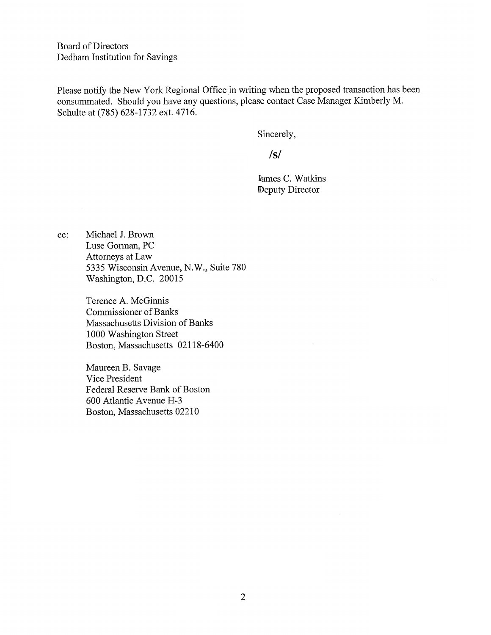Board of Directors Dedham Institution for Savings

Please notify the New York Regional Office in writing when the proposed transaction has been consummated. Should you have any questions, please contact Case Manager Kimberly M. Schulte at (785) 628-1732 ext. 4716.

Sincerely,

**/s/**

James C. Watkins Deputy Director

cc: Michael J. Brown Luse Gorman, PC Attorneys at Law 5335 Wisconsin Avenue, N.W., Suite 780 Washington, D.C. 20015

> Terence A. McGinnis Commissioner of Banks Massachusetts Division of Banks 1000 Washington Street Boston, Massachusetts 02118-6400

Maureen B. Savage Vice President Federal Reserve Bank of Boston 600 Atlantic Avenue H-3 Boston, Massachusetts 02210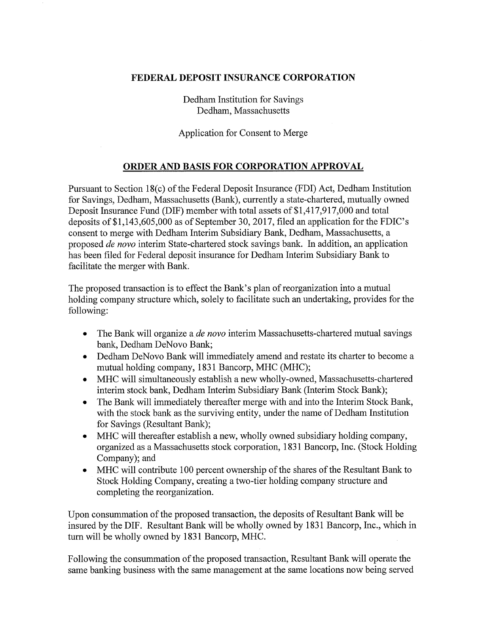## FEDERAL DEPOSIT INSURANCE CORPORATION

Dedham Institution for Savings Dedham, Massachusetts

Application for Consent to Merge

## ORDER AND BASIS FOR CORPORATION APPROVAL

Pursuant to Section 18(c) of the Federal Deposit Insurance (FDI) Act, Dedham Institution for Savings, Dedham, Massachusetts (Bank), currently astate-chartered, mutually owned Deposit Insurance Fund (DIF) member with total assets of \$1,417,917,000 and total deposits of \$1,143,605,000 as of September 30, 2017, filed an application for the FDIC's consent to merge with Dedham Interim Subsidiary Bank, Dedham, Massachusetts, a proposed de novo interim State-chartered stock savings bank. In addition, an application has been filed for Federal deposit insurance for Dedham Interim Subsidiary Bank to facilitate the merger with Bank.

The proposed transaction is to effect the Bank's plan of reorganization into a mutual holding company structure which, solely to facilitate such an undertaking, provides for the following:

- The Bank will organize a *de novo* interim Massachusetts-chartered mutual savings bank, Dedham DeNovo Bank;
- Dedham DeNovo Bank will immediately amend and restate its charter to become a mutual holding company, 1831 Bancorp, MHC (MHC);
- MHC will simultaneously establish a new wholly-owned, Massachusetts-chartered interim stock bank, Dedham Interim Subsidiary Bank (Interim Stock Bank);
- The Bank will immediately thereafter merge with and into the Interim Stock Bank, with the stock bank as the surviving entity, under the name of Dedham Institution for Savings (Resultant Bank);
- MHC will thereafter establish a new, wholly owned subsidiary holding company, organized as a Massachusetts stock corporation, 1831 Bancorp, Inc. (Stock Holding Company); and
- MHC will contribute 100 percent ownership of the shares of the Resultant Bank to Stock Holding Company, creating atwo-tier holding company structure and completing the reorganization.

Upon consummation of the proposed transaction, the deposits of Resultant Bank will be insured by the DIF. Resultant Bank will be wholly owned by 1831 Bancorp, Inc., which in turn will be wholly owned by 1831 Bancorp, MHC.

Following the consummation of the proposed transaction, Resultant Bank will operate the same banking business with the same management at the same locations now being served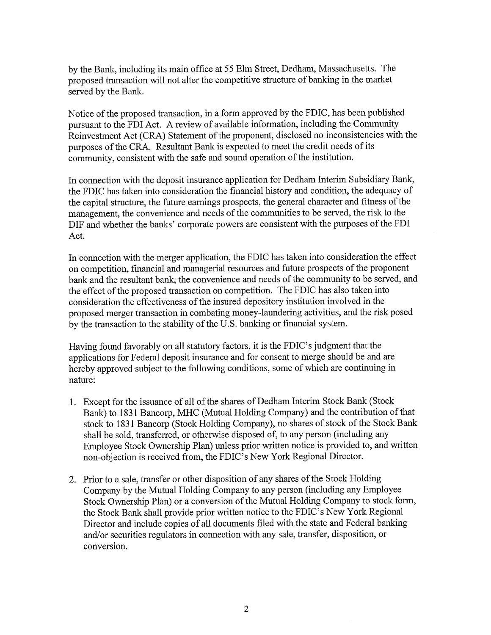by the Bank, including its main office at 55 Elm Street, Dedham, Massachusetts. The proposed transaction will not alter the competitive structure of banking in the market served by the Bank.

Notice of the proposed transaction, in a form approved by the FDIC, has been published pursuant to the FDI Act. A review of available information, including the Community Reinvestment Act (CRA) Statement of the proponent, disclosed no inconsistencies with the purposes of the CRA. Resultant Bank is expected to meet the credit needs of its community, consistent with the safe and sound operation of the institution.

In connection with the deposit insurance application for Dedham Interim Subsidiary Bank, the FDIC has taken into consideration the financial history and condition, the adequacy of the capital structure, the future earnings prospects, the general character and fitness of the management, the convenience and needs of the communities to be served, the risk to the DIF and whether the banks' corporate powers are consistent with the purposes of the FDI Act.

In connection with the merger application, the FDIC has taken into consideration the effect on competition, financial and managerial resources and future prospects of the proponent bank and the resultant bank, the convenience and needs of the community to be served, and the effect of the proposed transaction on competition. The FDIC has also taken into consideration the effectiveness of the insured depository institution involved in the proposed merger transaction in combating money-laundering activities, and the risk posed by the transaction to the stability of the U.S. banking or financial system.

Having found favorably on all statutory factors, it is the FDIC's judgment that the applications for Federal deposit insurance and for consent to merge should be and are hereby approved subject to the following conditions, some of which are continuing in nature:

- Except for the issuance of all of the shares of Dedham Interim Stock Bank (Stock Bank) to 1831 Bancorp, MHC (Mutual Holding Company) and the contribution of that stock to 1831 Bancorp (Stock Holding Company), no shares of stock of the Stock Bank shall be sold, transferred, or otherwise disposed of, to any person (including any Employee Stock Ownership Plan) unless prior written notice is provided to, and written non-objection is received from, the FDIC's New York Regional Director.
- 2. Prior to a sale, transfer or other disposition of any shares of the Stock Holding Company by the Mutual Holding Company to any person (including any Employee Stock Ownership Plan) or a conversion of the Mutual Holding Company to stock form, the Stock Bank shall provide prior written notice to the FDIC's New York Regional Director and include copies of all documents filed with the state and Federal banking and/or securities regulators in connection with any sale, transfer, disposition, or conversion.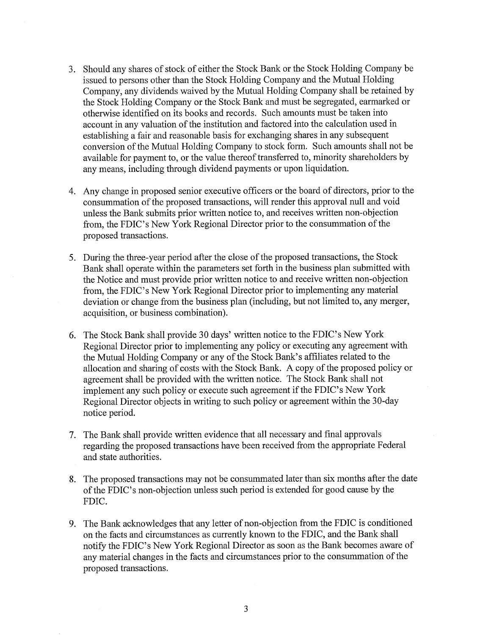- 3. Should any shares of stock of either the Stock Bank or the Stock Holding Company be issued to persons other than the Stock Holding Company and the Mutual Holding Company, any dividends waived by the Mutual Holding Company shall be retained by the Stock Holding Company or the Stock Bank and must be segregated, earmarked or otherwise identified on its books and records. Such amounts must be taken into account in any valuation of the institution and factored into the calculation used in establishing a fair and reasonable basis for exchanging shares in any subsequent conversion of the Mutual Holding Company to stock form. Such amounts shall not be available for payment to, or the value thereof transferred to, minority shareholders by any means, including through dividend payments or upon liquidation.
- 4. Any change in proposed senior executive officers or the board of directors, prior to the consummation of the proposed transactions, will render this approval null and void unless the Bank submits prior written notice to, and receives written non-objection from, the FDIC's New York Regional Director prior to the consummation of the proposed transactions.
- 5. During the three-year period after the close of the proposed transactions, the Stock Bank shall operate within the parameters set forth in the business plan submitted with the Notice and must provide prior written notice to and receive written non-objection from, the FDIC's New York Regional Director prior to implementing any material deviation or change from the business plan (including, but not limited to, any merger, acquisition, or business combination).
- 6. The Stock Bank shall provide 30 days' written notice to the FDIC's New York Regional Director prior to implementing any policy or executing any agreement with the Mutual Holding Company ar any of the Stock Bank's affiliates related to the allocation and sharing of costs with the Stock Bank. A copy of the proposed policy or agreement shall be provided with the written notice. The Stock Bank shall not implement any such policy or execute such agreement if the FDIC's New York Regional Director objects in writing to such policy or agreement within the 30-day notice period.
- 7. The Bank shall provide written evidence that all necessary and final approvals regarding the proposed transactions have been received from the appropriate Federal and state authorities.
- 8. The proposed transactions may not be consummated later than six months after the date of the FDIC's non-objection unless such period is extended for good cause by the FDIC.
- 9. The Bank acknowledges that any letter of non-objection from the FDIC is conditioned on the facts and circumstances as currently known to the FDIC, and the Bank shall notify the FDIC's New York Regional Director as soon as the Bank becomes aware of any material changes in the facts and circumstances prior to the consummation of the proposed transactions.